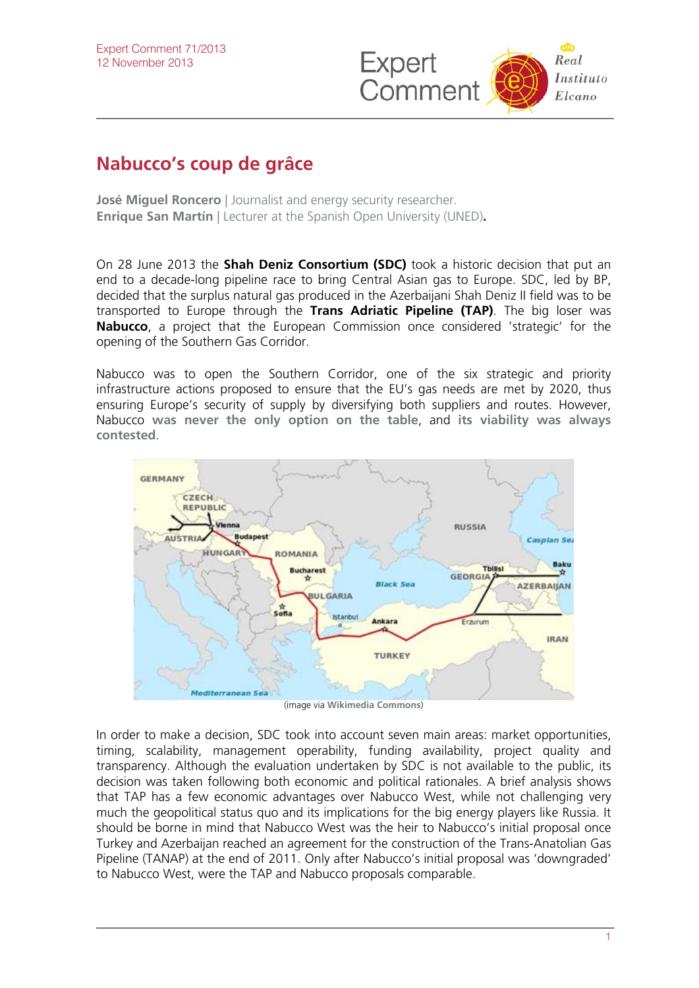

## **Nabucco's coup de grâce**

**José Miguel Roncero** I Journalist and energy security researcher. **Enrique San Martín** | Lecturer at the Spanish Open University (UNED).

On 28 June 2013 the **Shah Deniz Consortium (SDC)** took a historic decision that put an end to a decade-long pipeline race to bring Central Asian gas to Europe. SDC, led by BP, decided that the surplus natural gas produced in the Azerbaijani Shah Deniz II field was to be transported to Europe through the **Trans Adriatic Pipeline (TAP)**. The big loser was **Nabucco**, a project that the European Commission once considered 'strategic' for the opening of the Southern Gas Corridor.

Nabucco was to open the Southern Corridor, one of the six strategic and priority infrastructure actions proposed to ensure that the EU's gas needs are met by 2020, thus ensuring Europe's security of supply by diversifying both suppliers and routes. However, Nabucco **[was never the only option on the table](http://www.realinstitutoelcano.org/wps/portal/rielcano/contenido?WCM_GLOBAL_CONTEXT=/elcano/elcano_es/programas/energiacambioclimatico/publicaciones/ari93-2012_rico_corredor_meridional_europa_energia_caspio)**, and **[its viability was always](http://www.realinstitutoelcano.org/wps/portal/rielcano/contenido?WCM_GLOBAL_CONTEXT=/elcano/elcano_es/zonas_es/asia-pacifico/ari102-2009)  [contested](http://www.realinstitutoelcano.org/wps/portal/rielcano/contenido?WCM_GLOBAL_CONTEXT=/elcano/elcano_es/zonas_es/asia-pacifico/ari102-2009)**.



(image via **[Wikimedia Commons](http://commons.wikimedia.org/wiki/File:Nabucco_Gas_Pipeline-en.svg)**)

In order to make a decision, SDC took into account seven main areas: market opportunities, timing, scalability, management operability, funding availability, project quality and transparency. Although the evaluation undertaken by SDC is not available to the public, its decision was taken following both economic and political rationales. A brief analysis shows that TAP has a few economic advantages over Nabucco West, while not challenging very much the geopolitical status quo and its implications for the big energy players like Russia. It should be borne in mind that Nabucco West was the heir to Nabucco's initial proposal once Turkey and Azerbaijan reached an agreement for the construction of the Trans-Anatolian Gas Pipeline (TANAP) at the end of 2011. Only after Nabucco's initial proposal was 'downgraded' to Nabucco West, were the TAP and Nabucco proposals comparable.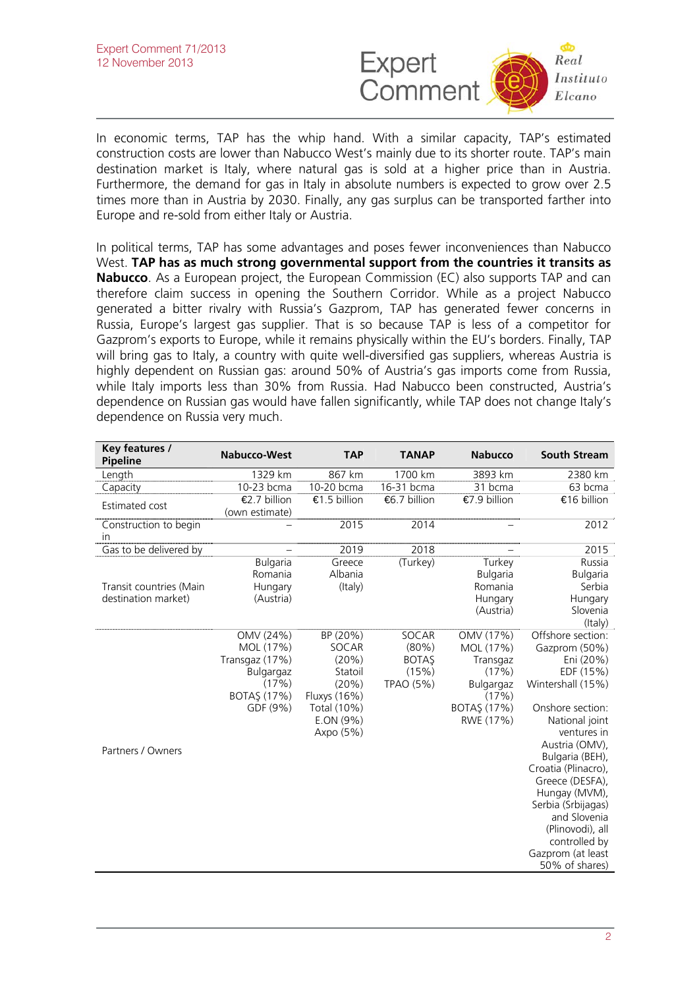

In economic terms, TAP has the whip hand. With a similar capacity, TAP's estimated construction costs are lower than Nabucco West's mainly due to its shorter route. TAP's main destination market is Italy, where natural gas is sold at a higher price than in Austria. Furthermore, the demand for gas in Italy in absolute numbers is expected to grow over 2.5 times more than in Austria by 2030. Finally, any gas surplus can be transported farther into Europe and re-sold from either Italy or Austria.

In political terms, TAP has some advantages and poses fewer inconveniences than Nabucco West. **TAP has as much strong governmental support from the countries it transits as Nabucco**. As a European project, the European Commission (EC) also supports TAP and can therefore claim success in opening the Southern Corridor. While as a project Nabucco generated a bitter rivalry with Russia's Gazprom, TAP has generated fewer concerns in Russia, Europe's largest gas supplier. That is so because TAP is less of a competitor for Gazprom's exports to Europe, while it remains physically within the EU's borders. Finally, TAP will bring gas to Italy, a country with quite well-diversified gas suppliers, whereas Austria is highly dependent on Russian gas: around 50% of Austria's gas imports come from Russia, while Italy imports less than 30% from Russia. Had Nabucco been constructed, Austria's dependence on Russian gas would have fallen significantly, while TAP does not change Italy's dependence on Russia very much.

| Key features /<br>Pipeline                     | <b>Nabucco-West</b>                                                                       | <b>TAP</b>                                                                                              | <b>TANAP</b>                                            | <b>Nabucco</b>                                                                                | <b>South Stream</b>                                                                                                                                                                                                                                                                                                                                      |
|------------------------------------------------|-------------------------------------------------------------------------------------------|---------------------------------------------------------------------------------------------------------|---------------------------------------------------------|-----------------------------------------------------------------------------------------------|----------------------------------------------------------------------------------------------------------------------------------------------------------------------------------------------------------------------------------------------------------------------------------------------------------------------------------------------------------|
| Length                                         | 1329 km                                                                                   | 867 km                                                                                                  | 1700 km                                                 | 3893 km                                                                                       | 2380 km                                                                                                                                                                                                                                                                                                                                                  |
| Capacity                                       | 10-23 bcma                                                                                | 10-20 bcma                                                                                              | 16-31 bcma                                              | 31 bcma                                                                                       | 63 bcma                                                                                                                                                                                                                                                                                                                                                  |
| Estimated cost                                 | €2.7 billion<br>(own estimate)                                                            | €1.5 billion                                                                                            | €6.7 billion                                            | €7.9 billion                                                                                  | €16 billion                                                                                                                                                                                                                                                                                                                                              |
| Construction to begin<br>in                    |                                                                                           | 2015                                                                                                    | 2014                                                    |                                                                                               | 2012                                                                                                                                                                                                                                                                                                                                                     |
| Gas to be delivered by                         |                                                                                           | 2019                                                                                                    | 2018                                                    |                                                                                               | 2015                                                                                                                                                                                                                                                                                                                                                     |
| Transit countries (Main<br>destination market) | <b>Bulgaria</b><br>Romania<br>Hungary<br>(Austria)                                        | Greece<br>Albania<br>(Italy)                                                                            | (Turkey)                                                | Turkey<br><b>Bulgaria</b><br>Romania<br>Hungary<br>(Austria)                                  | Russia<br><b>Bulgaria</b><br>Serbia<br>Hungary<br>Slovenia<br>(Italy)                                                                                                                                                                                                                                                                                    |
| Partners / Owners                              | OMV (24%)<br>MOL (17%)<br>Transgaz (17%)<br>Bulgargaz<br>(17%)<br>BOTAŞ (17%)<br>GDF (9%) | BP (20%)<br>SOCAR<br>(20%)<br>Statoil<br>(20%)<br>Fluxys (16%)<br>Total (10%)<br>E.ON (9%)<br>Axpo (5%) | SOCAR<br>$(80\%)$<br><b>BOTAŞ</b><br>(15%)<br>TPAO (5%) | OMV (17%)<br>MOL (17%)<br>Transgaz<br>(17%)<br>Bulgargaz<br>(17%)<br>BOTAŞ (17%)<br>RWE (17%) | Offshore section:<br>Gazprom (50%)<br>Eni (20%)<br>EDF (15%)<br>Wintershall (15%)<br>Onshore section:<br>National joint<br>ventures in<br>Austria (OMV),<br>Bulgaria (BEH),<br>Croatia (Plinacro),<br>Greece (DESFA),<br>Hungay (MVM),<br>Serbia (Srbijagas)<br>and Slovenia<br>(Plinovodi), all<br>controlled by<br>Gazprom (at least<br>50% of shares) |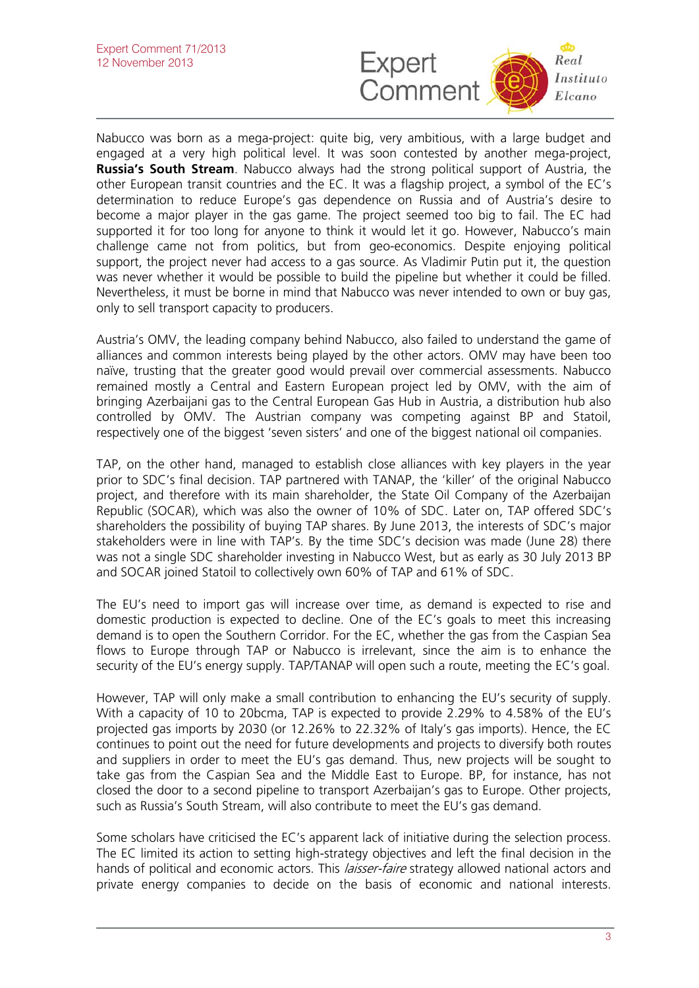

Nabucco was born as a mega-project: quite big, very ambitious, with a large budget and engaged at a very high political level. It was soon contested by another mega-project, **Russia's South Stream**. Nabucco always had the strong political support of Austria, the other European transit countries and the EC. It was a flagship project, a symbol of the EC's determination to reduce Europe's gas dependence on Russia and of Austria's desire to become a major player in the gas game. The project seemed too big to fail. The EC had supported it for too long for anyone to think it would let it go. However, Nabucco's main challenge came not from politics, but from geo-economics. Despite enjoying political support, the project never had access to a gas source. As Vladimir Putin put it, the question was never whether it would be possible to build the pipeline but whether it could be filled. Nevertheless, it must be borne in mind that Nabucco was never intended to own or buy gas, only to sell transport capacity to producers.

Austria's OMV, the leading company behind Nabucco, also failed to understand the game of alliances and common interests being played by the other actors. OMV may have been too naïve, trusting that the greater good would prevail over commercial assessments. Nabucco remained mostly a Central and Eastern European project led by OMV, with the aim of bringing Azerbaijani gas to the Central European Gas Hub in Austria, a distribution hub also controlled by OMV. The Austrian company was competing against BP and Statoil, respectively one of the biggest 'seven sisters' and one of the biggest national oil companies.

TAP, on the other hand, managed to establish close alliances with key players in the year prior to SDC's final decision. TAP partnered with TANAP, the 'killer' of the original Nabucco project, and therefore with its main shareholder, the State Oil Company of the Azerbaijan Republic (SOCAR), which was also the owner of 10% of SDC. Later on, TAP offered SDC's shareholders the possibility of buying TAP shares. By June 2013, the interests of SDC's major stakeholders were in line with TAP's. By the time SDC's decision was made (June 28) there was not a single SDC shareholder investing in Nabucco West, but as early as 30 July 2013 BP and SOCAR joined Statoil to collectively own 60% of TAP and 61% of SDC.

The EU's need to import gas will increase over time, as demand is expected to rise and domestic production is expected to decline. One of the EC's goals to meet this increasing demand is to open the Southern Corridor. For the EC, whether the gas from the Caspian Sea flows to Europe through TAP or Nabucco is irrelevant, since the aim is to enhance the security of the EU's energy supply. TAP/TANAP will open such a route, meeting the EC's goal.

However, TAP will only make a small contribution to enhancing the EU's security of supply. With a capacity of 10 to 20bcma, TAP is expected to provide 2.29% to 4.58% of the EU's projected gas imports by 2030 (or 12.26% to 22.32% of Italy's gas imports). Hence, the EC continues to point out the need for future developments and projects to diversify both routes and suppliers in order to meet the EU's gas demand. Thus, new projects will be sought to take gas from the Caspian Sea and the Middle East to Europe. BP, for instance, has not closed the door to a second pipeline to transport Azerbaijan's gas to Europe. Other projects, such as Russia's South Stream, will also contribute to meet the EU's gas demand.

Some scholars have criticised the EC's apparent lack of initiative during the selection process. The EC limited its action to setting high-strategy objectives and left the final decision in the hands of political and economic actors. This *laisser-faire* strategy allowed national actors and private energy companies to decide on the basis of economic and national interests.